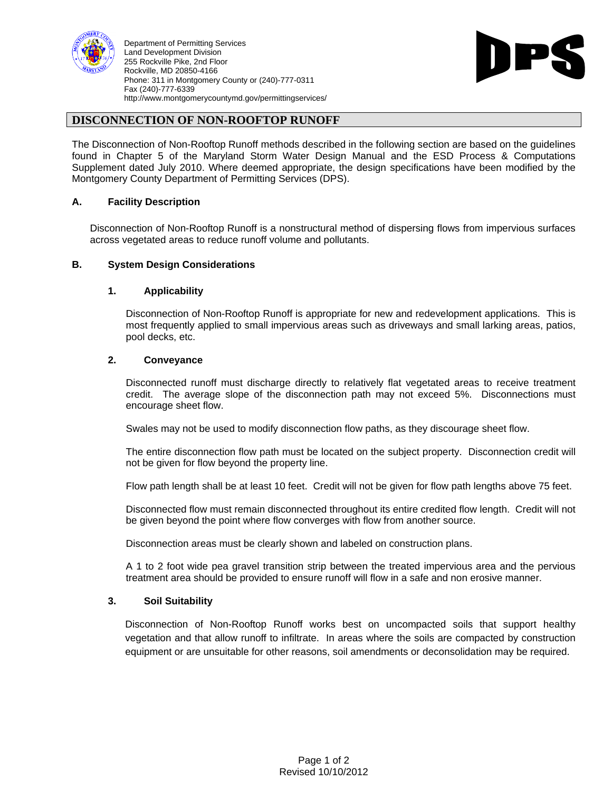

Department of Permitting Services Land Development Division **Example 2018 Contract Contract Contract Contract Contract Contract Contract Contract Contract Contract Contract Contract Contract Contract Contract Contract Contract Contract Contract Contract** 255 Rockville Pike, 2nd Floor<br>Rockville, MD 20850-4166 Rockville, MD 20850-4166 Phone: 311 in Montgomery County or (240)-777-0311 Fax (240)-777-6339 http://www.montgomerycountymd.gov/permittingservices/



# **DISCONNECTION OF NON-ROOFTOP RUNOFF**

The Disconnection of Non-Rooftop Runoff methods described in the following section are based on the guidelines found in Chapter 5 of the Maryland Storm Water Design Manual and the ESD Process & Computations Supplement dated July 2010. Where deemed appropriate, the design specifications have been modified by the Montgomery County Department of Permitting Services (DPS).

#### **A. Facility Description**

Disconnection of Non-Rooftop Runoff is a nonstructural method of dispersing flows from impervious surfaces across vegetated areas to reduce runoff volume and pollutants.

#### **B. System Design Considerations**

#### **1. Applicability**

Disconnection of Non-Rooftop Runoff is appropriate for new and redevelopment applications. This is most frequently applied to small impervious areas such as driveways and small larking areas, patios, pool decks, etc.

# **2. Conveyance**

Disconnected runoff must discharge directly to relatively flat vegetated areas to receive treatment credit. The average slope of the disconnection path may not exceed 5%. Disconnections must encourage sheet flow.

Swales may not be used to modify disconnection flow paths, as they discourage sheet flow.

The entire disconnection flow path must be located on the subject property. Disconnection credit will not be given for flow beyond the property line.

Flow path length shall be at least 10 feet. Credit will not be given for flow path lengths above 75 feet.

Disconnected flow must remain disconnected throughout its entire credited flow length. Credit will not be given beyond the point where flow converges with flow from another source.

Disconnection areas must be clearly shown and labeled on construction plans.

A 1 to 2 foot wide pea gravel transition strip between the treated impervious area and the pervious treatment area should be provided to ensure runoff will flow in a safe and non erosive manner.

#### **3. Soil Suitability**

Disconnection of Non-Rooftop Runoff works best on uncompacted soils that support healthy vegetation and that allow runoff to infiltrate. In areas where the soils are compacted by construction equipment or are unsuitable for other reasons, soil amendments or deconsolidation may be required.